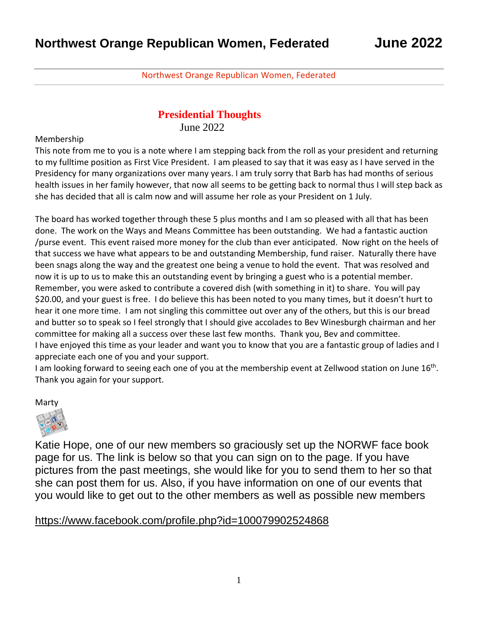#### Northwest Orange Republican Women, Federated

## **Presidential Thoughts**

June 2022

Membership

This note from me to you is a note where I am stepping back from the roll as your president and returning to my fulltime position as First Vice President. I am pleased to say that it was easy as I have served in the Presidency for many organizations over many years. I am truly sorry that Barb has had months of serious health issues in her family however, that now all seems to be getting back to normal thus I will step back as she has decided that all is calm now and will assume her role as your President on 1 July.

The board has worked together through these 5 plus months and I am so pleased with all that has been done. The work on the Ways and Means Committee has been outstanding. We had a fantastic auction /purse event. This event raised more money for the club than ever anticipated. Now right on the heels of that success we have what appears to be and outstanding Membership, fund raiser. Naturally there have been snags along the way and the greatest one being a venue to hold the event. That was resolved and now it is up to us to make this an outstanding event by bringing a guest who is a potential member. Remember, you were asked to contribute a covered dish (with something in it) to share. You will pay \$20.00, and your guest is free. I do believe this has been noted to you many times, but it doesn't hurt to hear it one more time. I am not singling this committee out over any of the others, but this is our bread and butter so to speak so I feel strongly that I should give accolades to Bev Winesburgh chairman and her committee for making all a success over these last few months. Thank you, Bev and committee. I have enjoyed this time as your leader and want you to know that you are a fantastic group of ladies and I appreciate each one of you and your support.

I am looking forward to seeing each one of you at the membership event at Zellwood station on June 16<sup>th</sup>. Thank you again for your support.

Marty



Katie Hope, one of our new members so graciously set up the NORWF face book page for us. The link is below so that you can sign on to the page. If you have pictures from the past meetings, she would like for you to send them to her so that she can post them for us. Also, if you have information on one of our events that you would like to get out to the other members as well as possible new members

#### <https://www.facebook.com/profile.php?id=100079902524868>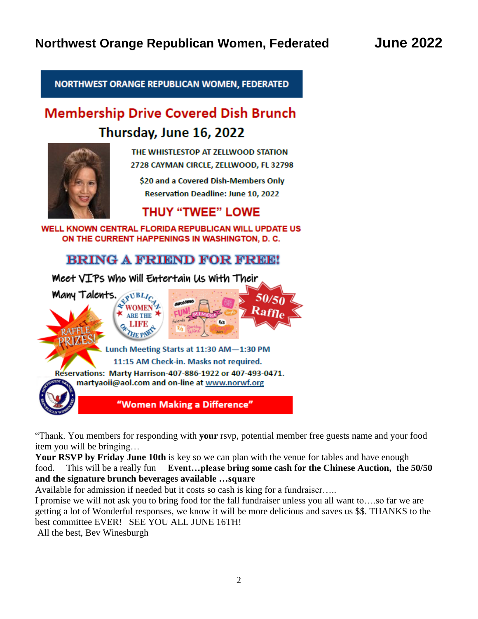NORTHWEST ORANGE REPUBLICAN WOMEN, FEDERATED

# **Membership Drive Covered Dish Brunch** Thursday, June 16, 2022



THE WHISTLESTOP AT ZELLWOOD STATION 2728 CAYMAN CIRCLE, ZELLWOOD, FL 32798

\$20 and a Covered Dish-Members Only **Reservation Deadline: June 10, 2022** 

# **THUY "TWEE" LOWE**

WELL KNOWN CENTRAL FLORIDA REPUBLICAN WILL UPDATE US ON THE CURRENT HAPPENINGS IN WASHINGTON, D. C.

## **BRING A FRIEND FOR FREE!**

Meet VIPs Who Will Entertain Us With Their



"Thank. You members for responding with **your** rsvp, potential member free guests name and your food item you will be bringing…

**Your RSVP by Friday June 10th** is key so we can plan with the venue for tables and have enough food. This will be a really fun **Event…please bring some cash for the Chinese Auction, the 50/50 and the signature brunch beverages available …square**

Available for admission if needed but it costs so cash is king for a fundraiser…..

I promise we will not ask you to bring food for the fall fundraiser unless you all want to….so far we are getting a lot of Wonderful responses, we know it will be more delicious and saves us \$\$. THANKS to the best committee EVER! SEE YOU ALL JUNE 16TH!

All the best, Bev Winesburgh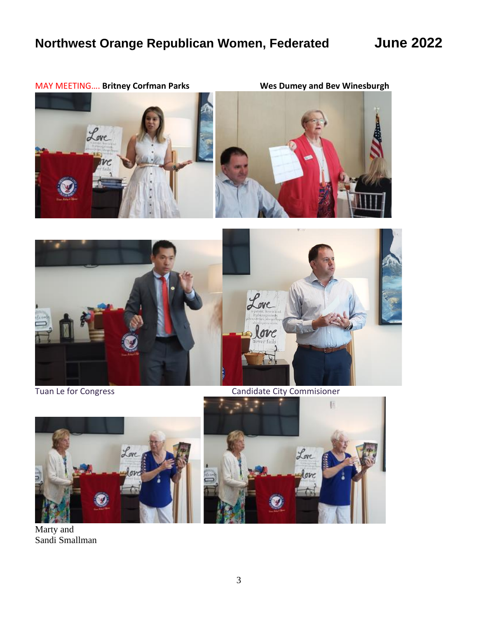







Tuan Le for Congress **Candidate City Commisioner** 



Marty and Sandi Smallman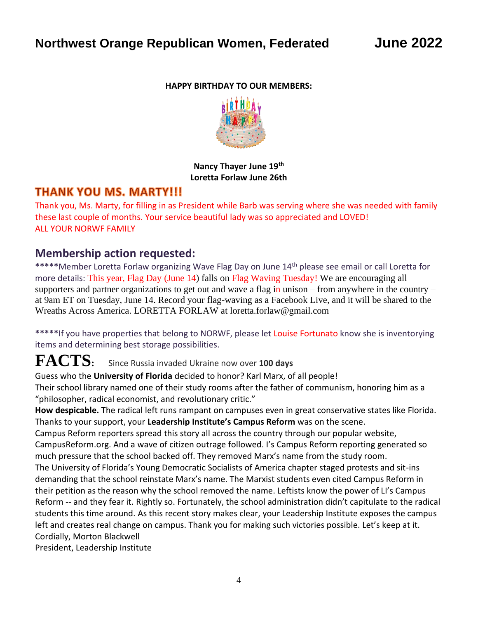#### **HAPPY BIRTHDAY TO OUR MEMBERS:**



**Nancy Thayer June 19th Loretta Forlaw June 26th**

### **THANK YOU MS. MARTY!!!**

Thank you, Ms. Marty, for filling in as President while Barb was serving where she was needed with family these last couple of months. Your service beautiful [lady](https://creativecommons.org/licenses/by-nc/3.0/) was so appreciated and LOVED! ALL YOUR NORWF FAMILY

### **Membership action requested:**

**\*\*\*\*\***Member Loretta Forlaw organizing Wave Flag Day on June 14th please see email or call Loretta for more details: This year, Flag Day (June 14) falls on Flag Waving Tuesday! We are encouraging all supporters and partner organizations to get out and wave a flag in unison – from anywhere in the country – at 9am ET on Tuesday, June 14. Record your flag-waving as a Facebook Live, and it will be shared to the Wreaths Across America. LORETTA FORLAW at loretta.forlaw@gmail.com

**\*\*\*\*\***If you have properties that belong to NORWF, please let Louise Fortunato know she is inventorying items and determining best storage possibilities.

# **FACTS:** Since Russia invaded Ukraine now over **<sup>100</sup> days**

Guess who the **University of Florida** decided to honor? Karl Marx, of all people! Their school library named one of their study rooms after the father of communism, honoring him as a "philosopher, radical economist, and revolutionary critic."

**How despicable.** The radical left runs rampant on campuses even in great conservative states like Florida. Thanks to your support, your **Leadership Institute's Campus Reform** was on the scene.

Campus Reform reporters spread this story all across the country through our popular website, CampusReform.org. And a wave of citizen outrage followed. I's Campus Reform reporting generated so much pressure that the school backed off. They removed Marx's name from the study room.

The University of Florida's Young Democratic Socialists of America chapter staged protests and sit-ins demanding that the school reinstate Marx's name. The Marxist students even cited Campus Reform in their petition as the reason why the school removed the name. Leftists know the power of LI's Campus Reform -- and they fear it. Rightly so. Fortunately, the school administration didn't capitulate to the radical students this time around. As this recent story makes clear, your Leadership Institute exposes the campus left and creates real change on campus. Thank you for making such victories possible. Let's keep at it. Cordially, Morton Blackwell

President, Leadership Institute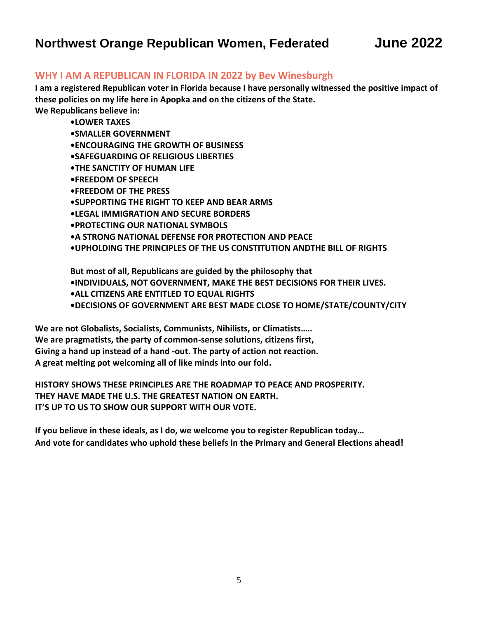# **Northwest Orange Republican Women, Federated June 2022**

#### **WHY I AM A REPUBLICAN IN FLORIDA IN 2022 by Bev Winesburgh**

**I am a registered Republican voter in Florida because I have personally witnessed the positive impact of these policies on my life here in Apopka and on the citizens of the State.**

**We Republicans believe in:**

- **•LOWER TAXES**
- **•SMALLER GOVERNMENT**

**•ENCOURAGING THE GROWTH OF BUSINESS**

**•SAFEGUARDING OF RELIGIOUS LIBERTIES**

- **•THE SANCTITY OF HUMAN LIFE**
- **•FREEDOM OF SPEECH**
- **•FREEDOM OF THE PRESS**
- **•SUPPORTING THE RIGHT TO KEEP AND BEAR ARMS**
- **•LEGAL IMMIGRATION AND SECURE BORDERS**
- **•PROTECTING OUR NATIONAL SYMBOLS**
- **•A STRONG NATIONAL DEFENSE FOR PROTECTION AND PEACE**
- **•UPHOLDING THE PRINCIPLES OF THE US CONSTITUTION ANDTHE BILL OF RIGHTS**

**But most of all, Republicans are guided by the philosophy that**

- **•INDIVIDUALS, NOT GOVERNMENT, MAKE THE BEST DECISIONS FOR THEIR LIVES.**
- **•ALL CITIZENS ARE ENTITLED TO EQUAL RIGHTS**
- **•DECISIONS OF GOVERNMENT ARE BEST MADE CLOSE TO HOME/STATE/COUNTY/CITY**

**We are not Globalists, Socialists, Communists, Nihilists, or Climatists….. We are pragmatists, the party of common-sense solutions, citizens first, Giving a hand up instead of a hand -out. The party of action not reaction. A great melting pot welcoming all of like minds into our fold.**

**HISTORY SHOWS THESE PRINCIPLES ARE THE ROADMAP TO PEACE AND PROSPERITY. THEY HAVE MADE THE U.S. THE GREATEST NATION ON EARTH. IT'S UP TO US TO SHOW OUR SUPPORT WITH OUR VOTE.**

**If you believe in these ideals, as I do, we welcome you to register Republican today… And vote for candidates who uphold these beliefs in the Primary and General Elections ahead!**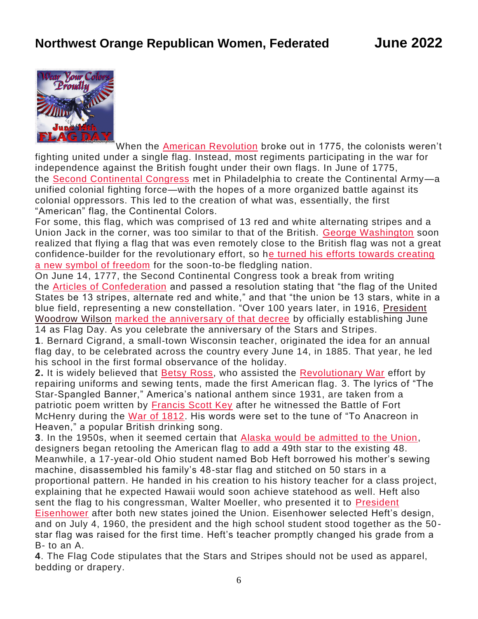

When the [American Revolution](https://www.history.com/topics/american-revolution/american-revolution-history) broke out in 1775, the colonists weren't [fighting](http://lehighvalleyramblings.blogspot.com/2016/06/three-allentown-middle-school-students.html) united under a single flag. Instead, most regiments participating in the war for [independ](https://creativecommons.org/licenses/by-nd/3.0/)ence against the British fought under their own flags. In June of 1775, the [Second Continental Congress](https://www.history.com/topics/american-revolution/the-continental-congress) met in Philadelphia to create the Continental Army-a unified colonial fighting force—with the hopes of a more organized battle against its colonial oppressors. This led to the creation of what was, essentially, the first "American" flag, the Continental Colors.

For some, this flag, which was comprised of 13 red and white alternating stripes and a Union Jack in the corner, was too similar to that of the British. [George Washington](https://www.history.com/topics/us-presidents/george-washington) soon realized that flying a flag that was even remotely close to the British flag was not a great confidence-builder for the revolutionary effort, so [he turned his efforts towards creating](https://www.loc.gov/item/today-in-history/june-14/)  [a new symbol of freedom](https://www.loc.gov/item/today-in-history/june-14/) for the soon-to-be fledgling nation.

On June 14, 1777, the Second Continental Congress took a break from writing the [Articles of Confederation](https://www.history.com/topics/articles-of-confederation) and passed a resolution stating that "the flag of the United States be 13 stripes, alternate red and white," and that "the union be 13 stars, white in a blue field, representing a new constellation. "Over 100 years later, in 1916, [President](https://www.history.com/topics/us-presidents/woodrow-wilson)  [Woodrow Wilson](https://www.history.com/topics/us-presidents/woodrow-wilson) [marked the anniversary of that decree](https://www.history.com/this-day-in-history/u-s-president-woodrow-wilson-gives-flag-day-address) by officially establishing June 14 as Flag Day. As you celebrate the anniversary of the Stars and Stripes.

**1**. Bernard Cigrand, a small-town Wisconsin teacher, originated the idea for an annual flag day, to be celebrated across the country every June 14, in 1885. That year, he led his school in the first formal observance of the holiday.

**2.** It is widely believed that [Betsy Ross,](https://www.biography.com/military-figure/betsy-ross) who assisted the [Revolutionary War](https://www.history.com/topics/american-revolution/american-revolution-history) effort by repairing uniforms and sewing tents, made the first American flag. 3. The lyrics of "The Star-Spangled Banner," America's national anthem since 1931, are taken from a patriotic poem written by [Francis Scott Key](https://www.history.com/this-day-in-history/key-pens-star-spangled-banner) after he witnessed the Battle of Fort McHenry during the [War of 1812.](https://www.history.com/topics/war-of-1812/war-of-1812) His words were set to the tune of "To Anacreon in Heaven," a popular British drinking song.

**3**. In the 1950s, when it seemed certain that [Alaska would be admitted to the Union,](https://www.history.com/this-day-in-history/sewards-follyhttps:/www.history.com/this-day-in-history/sewards-folly) designers began retooling the American flag to add a 49th star to the existing 48. Meanwhile, a 17-year-old Ohio student named Bob Heft borrowed his mother's sewing machine, disassembled his family's 48-star flag and stitched on 50 stars in a proportional pattern. He handed in his creation to his history teacher for a class project, explaining that he expected Hawaii would soon achieve statehood as well. Heft also sent the flag to his congressman, Walter Moeller, who presented it to [President](https://www.history.com/topics/us-presidents/dwight-d-eisenhower)  [Eisenhower](https://www.history.com/topics/us-presidents/dwight-d-eisenhower) after both new states joined the Union. Eisenhower selected Heft's design, and on July 4, 1960, the president and the high school student stood together as the 50 star flag was raised for the first time. Heft's teacher promptly changed his grade from a B- to an A.

**4**. The Flag Code stipulates that the Stars and Stripes should not be used as apparel, bedding or drapery.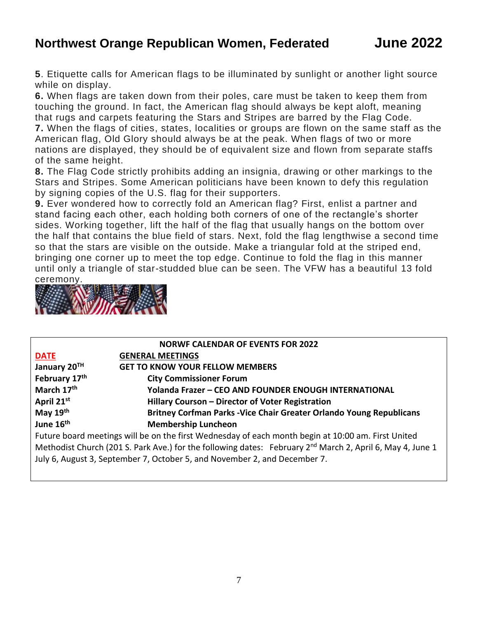# **Northwest Orange Republican Women, Federated June 2022**

**5**. Etiquette calls for American flags to be illuminated by sunlight or another light source while on display.

**6.** When flags are taken down from their poles, care must be taken to keep them from touching the ground. In fact, the American flag should always be kept aloft, meaning that rugs and carpets featuring the Stars and Stripes are barred by the Flag Code.

**7.** When the flags of cities, states, localities or groups are flown on the same staff as the American flag, Old Glory should always be at the peak. When flags of two or more nations are displayed, they should be of equivalent size and flown from separate staffs of the same height.

**8.** The Flag Code strictly prohibits adding an insignia, drawing or other markings to the Stars and Stripes. Some American politicians have been known to defy this regulation by signing copies of the U.S. flag for their supporters.

**9.** Ever wondered how to correctly fold an American flag? First, enlist a partner and stand facing each other, each holding both corners of one of the rectangle's shorter sides. Working together, lift the half of the flag that usually hangs on the bottom over the half that contains the blue field of stars. Next, fold the flag lengthwise a second time so that the stars are visible on the outside. Make a triangular fold at the striped end, bringing one corner up to meet the top edge. Continue to fold the flag in this manner until only a triangle of star-studded blue can be seen. The VFW has a beautiful 13 fold ceremony.



|                                                                                                                       | <b>NORWF CALENDAR OF EVENTS FOR 2022</b>                                                           |  |  |
|-----------------------------------------------------------------------------------------------------------------------|----------------------------------------------------------------------------------------------------|--|--|
| <b>DATE</b>                                                                                                           | <b>GENERAL MEETINGS</b>                                                                            |  |  |
| January 20 <sup>TH</sup>                                                                                              | <b>GET TO KNOW YOUR FELLOW MEMBERS</b>                                                             |  |  |
| February 17th                                                                                                         | <b>City Commissioner Forum</b>                                                                     |  |  |
| March 17 <sup>th</sup>                                                                                                | Yolanda Frazer - CEO AND FOUNDER ENOUGH INTERNATIONAL                                              |  |  |
| April 21st                                                                                                            | Hillary Courson - Director of Voter Registration                                                   |  |  |
| May 19th                                                                                                              | Britney Corfman Parks - Vice Chair Greater Orlando Young Republicans                               |  |  |
| June 16 <sup>th</sup>                                                                                                 | <b>Membership Luncheon</b>                                                                         |  |  |
|                                                                                                                       | Future board meetings will be on the first Wednesday of each month begin at 10:00 am. First United |  |  |
| Methodist Church (201 S. Park Ave.) for the following dates: February 2 <sup>nd</sup> March 2, April 6, May 4, June 1 |                                                                                                    |  |  |

July 6, August 3, September 7, October 5, and November 2, and December 7.